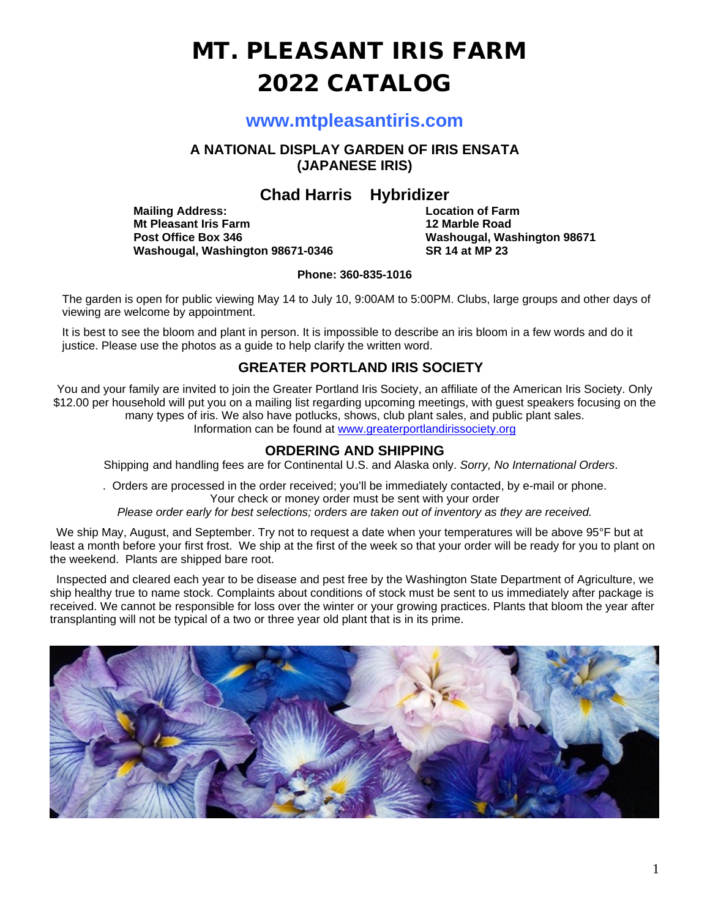# MT. PLEASANT IRIS FARM 2022 CATALOG

### **www.mtpleasantiris.com**

**A NATIONAL DISPLAY GARDEN OF IRIS ENSATA (JAPANESE IRIS)**

**Chad Harris** Hybridizer<br>Location of Farm

**Mailing Address: Location of Farm Mt Pleasant Iris Farm<br>Post Office Box 346 Washougal, Washington 98671-0346** 

**Washougal, Washington 98671**<br>SR 14 at MP 23

#### **Phone: 360-835-1016**

The garden is open for public viewing May 14 to July 10, 9:00AM to 5:00PM. Clubs, large groups and other days of viewing are welcome by appointment.

It is best to see the bloom and plant in person. It is impossible to describe an iris bloom in a few words and do it justice. Please use the photos as a guide to help clarify the written word.

#### **GREATER PORTLAND IRIS SOCIETY**

You and your family are invited to join the Greater Portland Iris Society, an affiliate of the American Iris Society. Only \$12.00 per household will put you on a mailing list regarding upcoming meetings, with guest speakers focusing on the many types of iris. We also have potlucks, shows, club plant sales, and public plant sales. Information can be found at [www.greaterportlandirissociety.org](http://www.greaterportlandirissociety.org/)

**ORDERING AND SHIPPING**

Shipping and handling fees are for Continental U.S. and Alaska only. *Sorry, No International Orders*.

. Orders are processed in the order received; you'll be immediately contacted, by e-mail or phone. Your check or money order must be sent with your order

*Please order early for best selections; orders are taken out of inventory as they are received.*

We ship May, August, and September. Try not to request a date when your temperatures will be above 95°F but at least a month before your first frost. We ship at the first of the week so that your order will be ready for you to plant on the weekend. Plants are shipped bare root.

 Inspected and cleared each year to be disease and pest free by the Washington State Department of Agriculture, we ship healthy true to name stock. Complaints about conditions of stock must be sent to us immediately after package is received. We cannot be responsible for loss over the winter or your growing practices. Plants that bloom the year after transplanting will not be typical of a two or three year old plant that is in its prime.

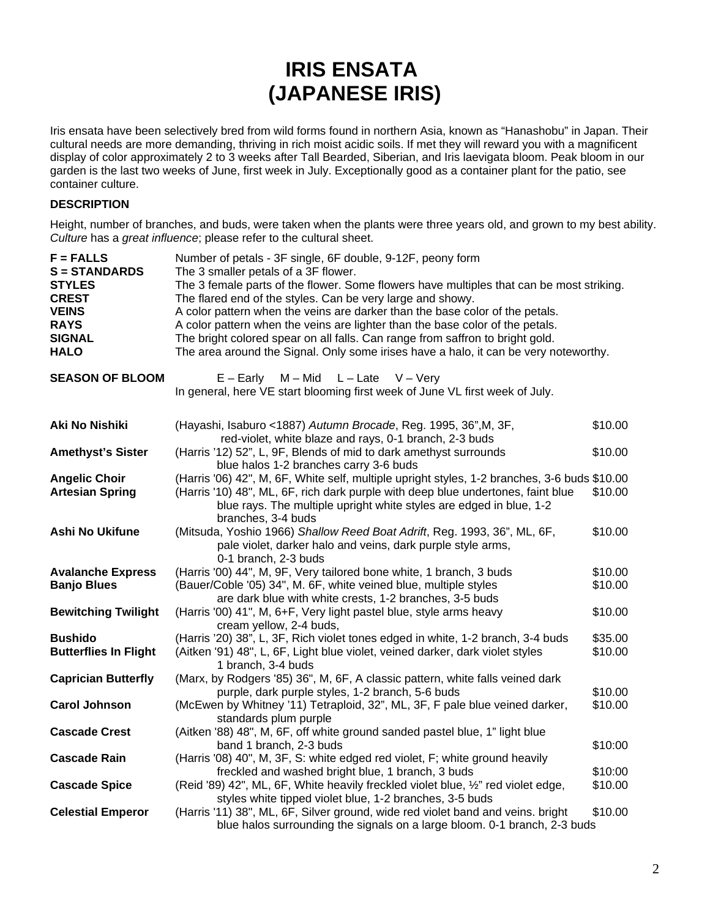## **IRIS ENSATA (JAPANESE IRIS)**

Iris ensata have been selectively bred from wild forms found in northern Asia, known as "Hanashobu" in Japan. Their cultural needs are more demanding, thriving in rich moist acidic soils. If met they will reward you with a magnificent display of color approximately 2 to 3 weeks after Tall Bearded, Siberian, and Iris laevigata bloom. Peak bloom in our garden is the last two weeks of June, first week in July. Exceptionally good as a container plant for the patio, see container culture.

#### **DESCRIPTION**

Height, number of branches, and buds, were taken when the plants were three years old, and grown to my best ability. *Culture* has a *great influence*; please refer to the cultural sheet.

| $F = FALSE$<br><b>S = STANDARDS</b><br><b>STYLES</b><br><b>CREST</b><br><b>VEINS</b><br><b>RAYS</b><br><b>SIGNAL</b><br><b>HALO</b> | Number of petals - 3F single, 6F double, 9-12F, peony form<br>The 3 smaller petals of a 3F flower.<br>The 3 female parts of the flower. Some flowers have multiples that can be most striking.<br>The flared end of the styles. Can be very large and showy.<br>A color pattern when the veins are darker than the base color of the petals.<br>A color pattern when the veins are lighter than the base color of the petals.<br>The bright colored spear on all falls. Can range from saffron to bright gold.<br>The area around the Signal. Only some irises have a halo, it can be very noteworthy. |                    |
|-------------------------------------------------------------------------------------------------------------------------------------|--------------------------------------------------------------------------------------------------------------------------------------------------------------------------------------------------------------------------------------------------------------------------------------------------------------------------------------------------------------------------------------------------------------------------------------------------------------------------------------------------------------------------------------------------------------------------------------------------------|--------------------|
| <b>SEASON OF BLOOM</b>                                                                                                              | $L -$ Late<br>$V - V$ ery<br>$E -$ Early<br>$M - Mid$<br>In general, here VE start blooming first week of June VL first week of July.                                                                                                                                                                                                                                                                                                                                                                                                                                                                  |                    |
| Aki No Nishiki                                                                                                                      | (Hayashi, Isaburo <1887) Autumn Brocade, Reg. 1995, 36", M, 3F,<br>red-violet, white blaze and rays, 0-1 branch, 2-3 buds                                                                                                                                                                                                                                                                                                                                                                                                                                                                              | \$10.00            |
| <b>Amethyst's Sister</b>                                                                                                            | (Harris '12) 52", L, 9F, Blends of mid to dark amethyst surrounds<br>blue halos 1-2 branches carry 3-6 buds                                                                                                                                                                                                                                                                                                                                                                                                                                                                                            | \$10.00            |
| <b>Angelic Choir</b><br><b>Artesian Spring</b>                                                                                      | (Harris '06) 42", M, 6F, White self, multiple upright styles, 1-2 branches, 3-6 buds \$10.00<br>(Harris '10) 48", ML, 6F, rich dark purple with deep blue undertones, faint blue<br>blue rays. The multiple upright white styles are edged in blue, 1-2<br>branches, 3-4 buds                                                                                                                                                                                                                                                                                                                          | \$10.00            |
| Ashi No Ukifune                                                                                                                     | (Mitsuda, Yoshio 1966) Shallow Reed Boat Adrift, Reg. 1993, 36", ML, 6F,<br>pale violet, darker halo and veins, dark purple style arms,<br>0-1 branch, 2-3 buds                                                                                                                                                                                                                                                                                                                                                                                                                                        | \$10.00            |
| <b>Avalanche Express</b><br><b>Banjo Blues</b>                                                                                      | (Harris '00) 44", M, 9F, Very tailored bone white, 1 branch, 3 buds<br>(Bauer/Coble '05) 34", M. 6F, white veined blue, multiple styles<br>are dark blue with white crests, 1-2 branches, 3-5 buds                                                                                                                                                                                                                                                                                                                                                                                                     | \$10.00<br>\$10.00 |
| <b>Bewitching Twilight</b>                                                                                                          | (Harris '00) 41", M, 6+F, Very light pastel blue, style arms heavy<br>cream yellow, 2-4 buds,                                                                                                                                                                                                                                                                                                                                                                                                                                                                                                          | \$10.00            |
| <b>Bushido</b><br><b>Butterflies In Flight</b>                                                                                      | (Harris '20) 38", L, 3F, Rich violet tones edged in white, 1-2 branch, 3-4 buds<br>(Aitken '91) 48", L, 6F, Light blue violet, veined darker, dark violet styles<br>1 branch, 3-4 buds                                                                                                                                                                                                                                                                                                                                                                                                                 | \$35.00<br>\$10.00 |
| <b>Caprician Butterfly</b>                                                                                                          | (Marx, by Rodgers '85) 36", M, 6F, A classic pattern, white falls veined dark<br>purple, dark purple styles, 1-2 branch, 5-6 buds                                                                                                                                                                                                                                                                                                                                                                                                                                                                      | \$10.00            |
| <b>Carol Johnson</b>                                                                                                                | (McEwen by Whitney '11) Tetraploid, 32", ML, 3F, F pale blue veined darker,<br>standards plum purple                                                                                                                                                                                                                                                                                                                                                                                                                                                                                                   | \$10.00            |
| <b>Cascade Crest</b>                                                                                                                | (Aitken '88) 48", M, 6F, off white ground sanded pastel blue, 1" light blue<br>band 1 branch, 2-3 buds                                                                                                                                                                                                                                                                                                                                                                                                                                                                                                 | \$10:00            |
| <b>Cascade Rain</b>                                                                                                                 | (Harris '08) 40", M, 3F, S: white edged red violet, F; white ground heavily<br>freckled and washed bright blue, 1 branch, 3 buds                                                                                                                                                                                                                                                                                                                                                                                                                                                                       | \$10:00            |
| <b>Cascade Spice</b>                                                                                                                | (Reid '89) 42", ML, 6F, White heavily freckled violet blue, 1/2" red violet edge,<br>styles white tipped violet blue, 1-2 branches, 3-5 buds                                                                                                                                                                                                                                                                                                                                                                                                                                                           | \$10.00            |
| <b>Celestial Emperor</b>                                                                                                            | (Harris '11) 38", ML, 6F, Silver ground, wide red violet band and veins. bright<br>blue halos surrounding the signals on a large bloom. 0-1 branch, 2-3 buds                                                                                                                                                                                                                                                                                                                                                                                                                                           | \$10.00            |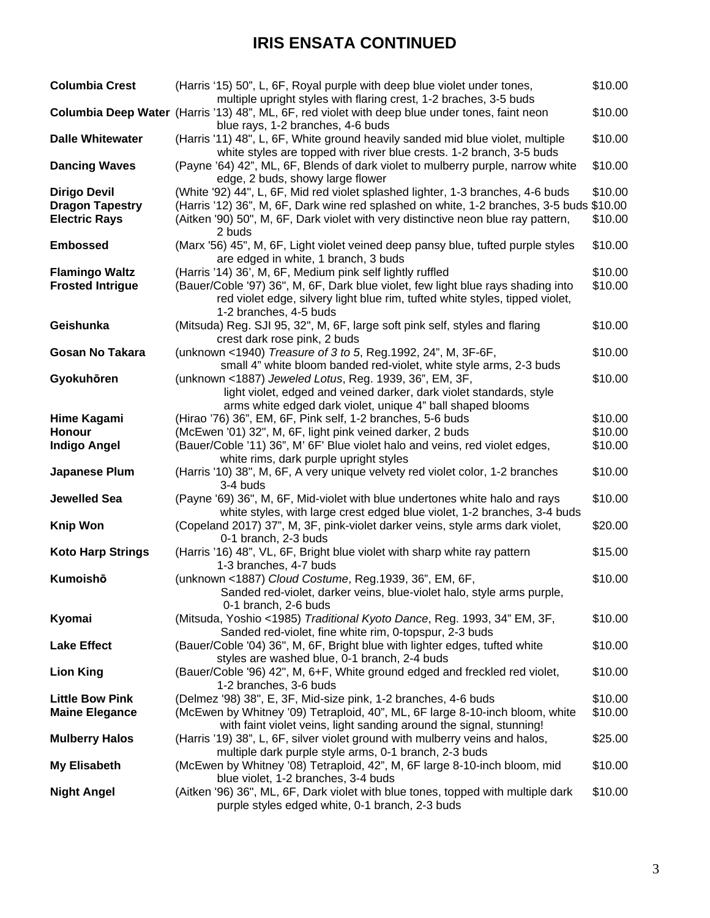## **IRIS ENSATA CONTINUED**

| <b>Columbia Crest</b>    | (Harris '15) 50", L, 6F, Royal purple with deep blue violet under tones,<br>multiple upright styles with flaring crest, 1-2 braches, 3-5 buds             | \$10.00 |
|--------------------------|-----------------------------------------------------------------------------------------------------------------------------------------------------------|---------|
|                          | Columbia Deep Water (Harris '13) 48", ML, 6F, red violet with deep blue under tones, faint neon<br>blue rays, 1-2 branches, 4-6 buds                      | \$10.00 |
| <b>Dalle Whitewater</b>  | (Harris '11) 48", L, 6F, White ground heavily sanded mid blue violet, multiple<br>white styles are topped with river blue crests. 1-2 branch, 3-5 buds    | \$10.00 |
| <b>Dancing Waves</b>     | (Payne '64) 42", ML, 6F, Blends of dark violet to mulberry purple, narrow white<br>edge, 2 buds, showy large flower                                       | \$10.00 |
| <b>Dirigo Devil</b>      | (White '92) 44", L, 6F, Mid red violet splashed lighter, 1-3 branches, 4-6 buds                                                                           | \$10.00 |
| <b>Dragon Tapestry</b>   | (Harris '12) 36", M, 6F, Dark wine red splashed on white, 1-2 branches, 3-5 buds \$10.00                                                                  |         |
| <b>Electric Rays</b>     | (Aitken '90) 50", M, 6F, Dark violet with very distinctive neon blue ray pattern,<br>2 buds                                                               | \$10.00 |
| <b>Embossed</b>          | (Marx '56) 45", M, 6F, Light violet veined deep pansy blue, tufted purple styles<br>are edged in white, 1 branch, 3 buds                                  | \$10.00 |
| <b>Flamingo Waltz</b>    | (Harris '14) 36', M, 6F, Medium pink self lightly ruffled                                                                                                 | \$10.00 |
| <b>Frosted Intrigue</b>  | (Bauer/Coble '97) 36", M, 6F, Dark blue violet, few light blue rays shading into                                                                          | \$10.00 |
|                          | red violet edge, silvery light blue rim, tufted white styles, tipped violet,<br>1-2 branches, 4-5 buds                                                    |         |
| Geishunka                | (Mitsuda) Reg. SJI 95, 32", M, 6F, large soft pink self, styles and flaring                                                                               | \$10.00 |
|                          | crest dark rose pink, 2 buds                                                                                                                              |         |
| <b>Gosan No Takara</b>   | (unknown <1940) Treasure of 3 to 5, Reg.1992, 24", M, 3F-6F,                                                                                              | \$10.00 |
| Gyokuhören               | small 4" white bloom banded red-violet, white style arms, 2-3 buds<br>(unknown <1887) Jeweled Lotus, Reg. 1939, 36", EM, 3F,                              | \$10.00 |
|                          | light violet, edged and veined darker, dark violet standards, style                                                                                       |         |
|                          | arms white edged dark violet, unique 4" ball shaped blooms                                                                                                |         |
| Hime Kagami              | (Hirao '76) 36", EM, 6F, Pink self, 1-2 branches, 5-6 buds                                                                                                | \$10.00 |
| Honour                   | (McEwen '01) 32", M, 6F, light pink veined darker, 2 buds                                                                                                 | \$10.00 |
| <b>Indigo Angel</b>      | (Bauer/Coble '11) 36", M' 6F' Blue violet halo and veins, red violet edges,                                                                               | \$10.00 |
|                          | white rims, dark purple upright styles                                                                                                                    |         |
| Japanese Plum            | (Harris '10) 38", M, 6F, A very unique velvety red violet color, 1-2 branches<br>3-4 buds                                                                 | \$10.00 |
| Jewelled Sea             | (Payne '69) 36", M, 6F, Mid-violet with blue undertones white halo and rays                                                                               | \$10.00 |
| <b>Knip Won</b>          | white styles, with large crest edged blue violet, 1-2 branches, 3-4 buds<br>(Copeland 2017) 37", M, 3F, pink-violet darker veins, style arms dark violet, | \$20.00 |
|                          | 0-1 branch, 2-3 buds                                                                                                                                      |         |
| <b>Koto Harp Strings</b> | (Harris '16) 48", VL, 6F, Bright blue violet with sharp white ray pattern                                                                                 | \$15.00 |
|                          | 1-3 branches, 4-7 buds                                                                                                                                    |         |
| Kumoishō                 | (unknown <1887) Cloud Costume, Reg.1939, 36", EM, 6F,                                                                                                     | \$10.00 |
|                          | Sanded red-violet, darker veins, blue-violet halo, style arms purple,<br>0-1 branch, 2-6 buds                                                             |         |
| Kyomai                   | (Mitsuda, Yoshio <1985) Traditional Kyoto Dance, Reg. 1993, 34" EM, 3F,                                                                                   | \$10.00 |
|                          | Sanded red-violet, fine white rim, 0-topspur, 2-3 buds                                                                                                    |         |
| <b>Lake Effect</b>       | (Bauer/Coble '04) 36", M, 6F, Bright blue with lighter edges, tufted white                                                                                | \$10.00 |
|                          | styles are washed blue, 0-1 branch, 2-4 buds                                                                                                              |         |
| <b>Lion King</b>         | (Bauer/Coble '96) 42", M, 6+F, White ground edged and freckled red violet,                                                                                | \$10.00 |
|                          | 1-2 branches, 3-6 buds                                                                                                                                    |         |
| <b>Little Bow Pink</b>   | (Delmez '98) 38", E, 3F, Mid-size pink, 1-2 branches, 4-6 buds                                                                                            | \$10.00 |
| <b>Maine Elegance</b>    | (McEwen by Whitney '09) Tetraploid, 40", ML, 6F large 8-10-inch bloom, white<br>with faint violet veins, light sanding around the signal, stunning!       | \$10.00 |
| <b>Mulberry Halos</b>    | (Harris '19) 38", L, 6F, silver violet ground with mulberry veins and halos,                                                                              | \$25.00 |
|                          | multiple dark purple style arms, 0-1 branch, 2-3 buds                                                                                                     |         |
| <b>My Elisabeth</b>      | (McEwen by Whitney '08) Tetraploid, 42", M, 6F large 8-10-inch bloom, mid                                                                                 | \$10.00 |
|                          | blue violet, 1-2 branches, 3-4 buds                                                                                                                       |         |
| <b>Night Angel</b>       | (Aitken '96) 36", ML, 6F, Dark violet with blue tones, topped with multiple dark<br>purple styles edged white, 0-1 branch, 2-3 buds                       | \$10.00 |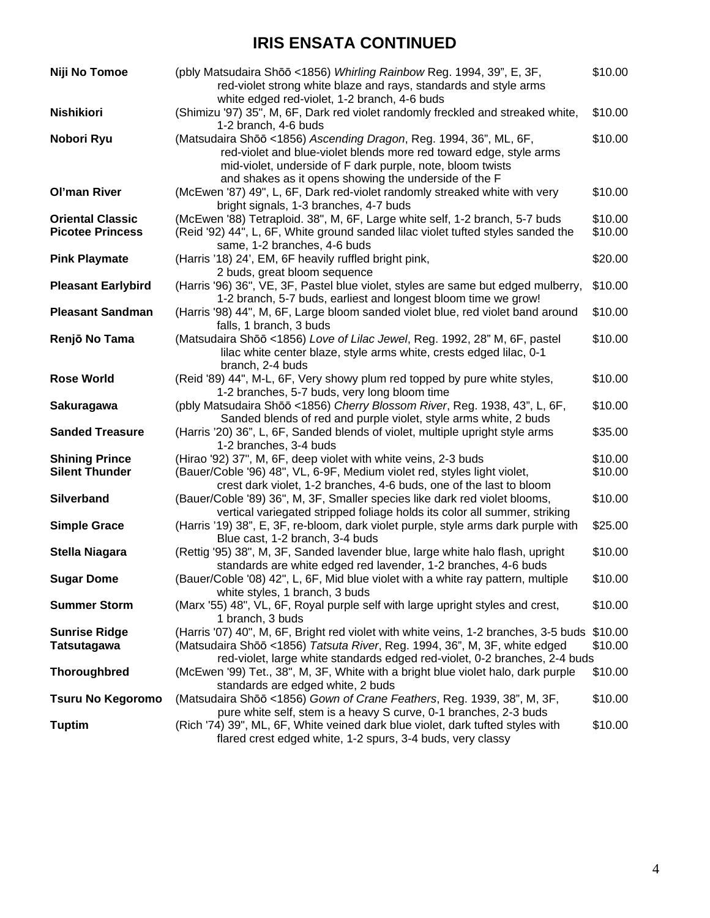## **IRIS ENSATA CONTINUED**

| Niji No Tomoe                                      | (pbly Matsudaira Shōō <1856) Whirling Rainbow Reg. 1994, 39", E, 3F,<br>red-violet strong white blaze and rays, standards and style arms<br>white edged red-violet, 1-2 branch, 4-6 buds                                                       | \$10.00            |
|----------------------------------------------------|------------------------------------------------------------------------------------------------------------------------------------------------------------------------------------------------------------------------------------------------|--------------------|
| Nishikiori                                         | (Shimizu '97) 35", M, 6F, Dark red violet randomly freckled and streaked white,<br>1-2 branch, 4-6 buds                                                                                                                                        | \$10.00            |
| Nobori Ryu                                         | (Matsudaira Shōō <1856) Ascending Dragon, Reg. 1994, 36", ML, 6F,<br>red-violet and blue-violet blends more red toward edge, style arms<br>mid-violet, underside of F dark purple, note, bloom twists                                          | \$10.00            |
| <b>Ol'man River</b>                                | and shakes as it opens showing the underside of the F<br>(McEwen '87) 49", L, 6F, Dark red-violet randomly streaked white with very<br>bright signals, 1-3 branches, 4-7 buds                                                                  | \$10.00            |
| <b>Oriental Classic</b><br><b>Picotee Princess</b> | (McEwen '88) Tetraploid. 38", M, 6F, Large white self, 1-2 branch, 5-7 buds<br>(Reid '92) 44", L, 6F, White ground sanded lilac violet tufted styles sanded the<br>same, 1-2 branches, 4-6 buds                                                | \$10.00<br>\$10.00 |
| <b>Pink Playmate</b>                               | (Harris '18) 24', EM, 6F heavily ruffled bright pink,<br>2 buds, great bloom sequence                                                                                                                                                          | \$20.00            |
| <b>Pleasant Earlybird</b>                          | (Harris '96) 36", VE, 3F, Pastel blue violet, styles are same but edged mulberry,<br>1-2 branch, 5-7 buds, earliest and longest bloom time we grow!                                                                                            | \$10.00            |
| <b>Pleasant Sandman</b>                            | (Harris '98) 44", M, 6F, Large bloom sanded violet blue, red violet band around<br>falls, 1 branch, 3 buds                                                                                                                                     | \$10.00            |
| Renjō No Tama                                      | (Matsudaira Shōō <1856) Love of Lilac Jewel, Reg. 1992, 28" M, 6F, pastel<br>lilac white center blaze, style arms white, crests edged lilac, 0-1<br>branch, 2-4 buds                                                                           | \$10.00            |
| <b>Rose World</b>                                  | (Reid '89) 44", M-L, 6F, Very showy plum red topped by pure white styles,<br>1-2 branches, 5-7 buds, very long bloom time                                                                                                                      | \$10.00            |
| <b>Sakuragawa</b>                                  | (pbly Matsudaira Shōō <1856) Cherry Blossom River, Reg. 1938, 43", L, 6F,<br>Sanded blends of red and purple violet, style arms white, 2 buds                                                                                                  | \$10.00            |
| <b>Sanded Treasure</b>                             | (Harris '20) 36", L, 6F, Sanded blends of violet, multiple upright style arms<br>1-2 branches, 3-4 buds                                                                                                                                        | \$35.00            |
| <b>Shining Prince</b><br><b>Silent Thunder</b>     | (Hirao '92) 37", M, 6F, deep violet with white veins, 2-3 buds<br>(Bauer/Coble '96) 48", VL, 6-9F, Medium violet red, styles light violet,<br>crest dark violet, 1-2 branches, 4-6 buds, one of the last to bloom                              | \$10.00<br>\$10.00 |
| Silverband                                         | (Bauer/Coble '89) 36", M, 3F, Smaller species like dark red violet blooms,<br>vertical variegated stripped foliage holds its color all summer, striking                                                                                        | \$10.00            |
| <b>Simple Grace</b>                                | (Harris '19) 38", E, 3F, re-bloom, dark violet purple, style arms dark purple with<br>Blue cast, 1-2 branch, 3-4 buds                                                                                                                          | \$25.00            |
| Stella Niagara                                     | (Rettig '95) 38", M, 3F, Sanded lavender blue, large white halo flash, upright<br>standards are white edged red lavender, 1-2 branches, 4-6 buds                                                                                               | \$10.00            |
| <b>Sugar Dome</b>                                  | (Bauer/Coble '08) 42", L, 6F, Mid blue violet with a white ray pattern, multiple<br>white styles, 1 branch, 3 buds                                                                                                                             | \$10.00            |
| <b>Summer Storm</b>                                | (Marx '55) 48", VL, 6F, Royal purple self with large upright styles and crest,<br>1 branch, 3 buds                                                                                                                                             | \$10.00            |
| <b>Sunrise Ridge</b><br><b>Tatsutagawa</b>         | (Harris '07) 40", M, 6F, Bright red violet with white veins, 1-2 branches, 3-5 buds<br>(Matsudaira Shōō <1856) Tatsuta River, Reg. 1994, 36", M, 3F, white edged<br>red-violet, large white standards edged red-violet, 0-2 branches, 2-4 buds | \$10.00<br>\$10.00 |
| <b>Thoroughbred</b>                                | (McEwen '99) Tet., 38", M, 3F, White with a bright blue violet halo, dark purple<br>standards are edged white, 2 buds                                                                                                                          | \$10.00            |
| <b>Tsuru No Kegoromo</b>                           | (Matsudaira Shōō <1856) Gown of Crane Feathers, Reg. 1939, 38", M, 3F,<br>pure white self, stem is a heavy S curve, 0-1 branches, 2-3 buds                                                                                                     | \$10.00            |
| <b>Tuptim</b>                                      | (Rich '74) 39", ML, 6F, White veined dark blue violet, dark tufted styles with<br>flared crest edged white, 1-2 spurs, 3-4 buds, very classy                                                                                                   | \$10.00            |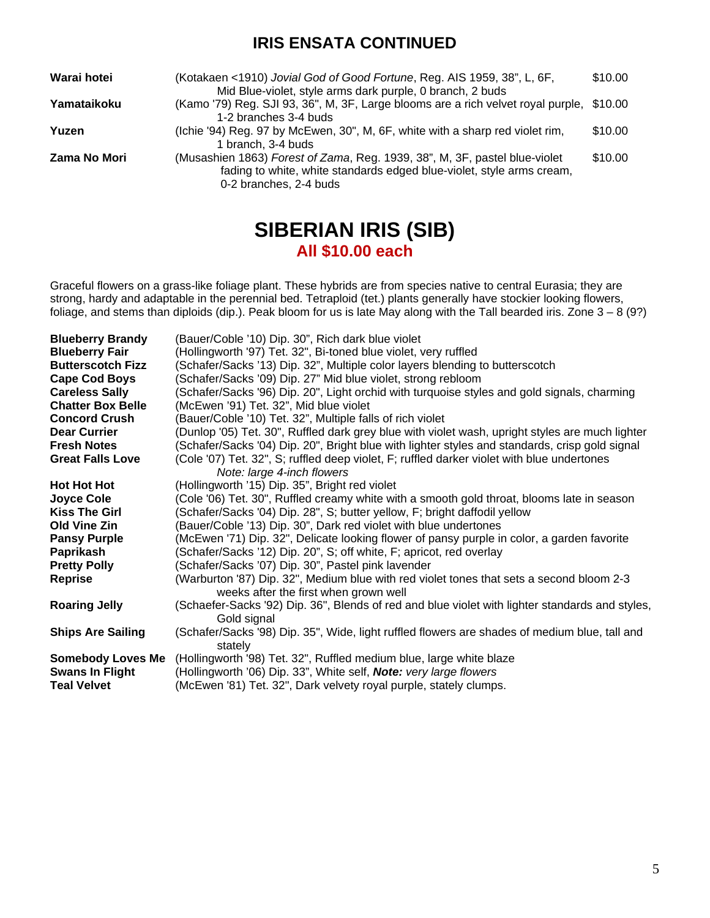### **IRIS ENSATA CONTINUED**

| Warai hotei  | (Kotakaen <1910) Jovial God of Good Fortune, Reg. AIS 1959, 38", L, 6F,<br>Mid Blue-violet, style arms dark purple, 0 branch, 2 buds                                          | \$10.00 |
|--------------|-------------------------------------------------------------------------------------------------------------------------------------------------------------------------------|---------|
| Yamataikoku  | (Kamo '79) Reg. SJI 93, 36", M, 3F, Large blooms are a rich velvet royal purple, \$10.00<br>1-2 branches 3-4 buds                                                             |         |
| Yuzen        | (Ichie '94) Reg. 97 by McEwen, 30", M, 6F, white with a sharp red violet rim,<br>1 branch. 3-4 buds                                                                           | \$10.00 |
| Zama No Mori | (Musashien 1863) Forest of Zama, Reg. 1939, 38", M, 3F, pastel blue-violet<br>fading to white, white standards edged blue-violet, style arms cream,<br>0-2 branches, 2-4 buds | \$10.00 |

### **SIBERIAN IRIS (SIB) All \$10.00 each**

Graceful flowers on a grass-like foliage plant. These hybrids are from species native to central Eurasia; they are strong, hardy and adaptable in the perennial bed. Tetraploid (tet.) plants generally have stockier looking flowers, foliage, and stems than diploids (dip.). Peak bloom for us is late May along with the Tall bearded iris. Zone  $3 - 8$  (9?)

| <b>Blueberry Brandy</b>  | (Bauer/Coble '10) Dip. 30", Rich dark blue violet                                               |
|--------------------------|-------------------------------------------------------------------------------------------------|
| <b>Blueberry Fair</b>    | (Hollingworth '97) Tet. 32", Bi-toned blue violet, very ruffled                                 |
| <b>Butterscotch Fizz</b> | (Schafer/Sacks '13) Dip. 32", Multiple color layers blending to butterscotch                    |
| <b>Cape Cod Boys</b>     | (Schafer/Sacks '09) Dip. 27" Mid blue violet, strong rebloom                                    |
| <b>Careless Sally</b>    | (Schafer/Sacks '96) Dip. 20", Light orchid with turquoise styles and gold signals, charming     |
| <b>Chatter Box Belle</b> | (McEwen '91) Tet. 32", Mid blue violet                                                          |
| <b>Concord Crush</b>     | (Bauer/Coble '10) Tet. 32", Multiple falls of rich violet                                       |
| <b>Dear Currier</b>      | (Dunlop '05) Tet. 30", Ruffled dark grey blue with violet wash, upright styles are much lighter |
| <b>Fresh Notes</b>       | (Schafer/Sacks '04) Dip. 20", Bright blue with lighter styles and standards, crisp gold signal  |
| <b>Great Falls Love</b>  | (Cole '07) Tet. 32", S; ruffled deep violet, F; ruffled darker violet with blue undertones      |
|                          | Note: large 4-inch flowers                                                                      |
| <b>Hot Hot Hot</b>       | (Hollingworth '15) Dip. 35", Bright red violet                                                  |
| Joyce Cole               | (Cole '06) Tet. 30", Ruffled creamy white with a smooth gold throat, blooms late in season      |
| <b>Kiss The Girl</b>     | (Schafer/Sacks '04) Dip. 28", S; butter yellow, F; bright daffodil yellow                       |
| Old Vine Zin             | (Bauer/Coble '13) Dip. 30", Dark red violet with blue undertones                                |
| <b>Pansy Purple</b>      | (McEwen '71) Dip. 32", Delicate looking flower of pansy purple in color, a garden favorite      |
| Paprikash                | (Schafer/Sacks '12) Dip. 20", S; off white, F; apricot, red overlay                             |
| <b>Pretty Polly</b>      | (Schafer/Sacks '07) Dip. 30", Pastel pink lavender                                              |
| <b>Reprise</b>           | (Warburton '87) Dip. 32", Medium blue with red violet tones that sets a second bloom 2-3        |
|                          | weeks after the first when grown well                                                           |
| <b>Roaring Jelly</b>     | (Schaefer-Sacks '92) Dip. 36", Blends of red and blue violet with lighter standards and styles, |
|                          | Gold signal                                                                                     |
| <b>Ships Are Sailing</b> | (Schafer/Sacks '98) Dip. 35", Wide, light ruffled flowers are shades of medium blue, tall and   |
|                          | stately                                                                                         |
| <b>Somebody Loves Me</b> | (Hollingworth '98) Tet. 32", Ruffled medium blue, large white blaze                             |
| <b>Swans In Flight</b>   | (Hollingworth '06) Dip. 33", White self, <b>Note:</b> very large flowers                        |
| <b>Teal Velvet</b>       | (McEwen '81) Tet. 32", Dark velvety royal purple, stately clumps.                               |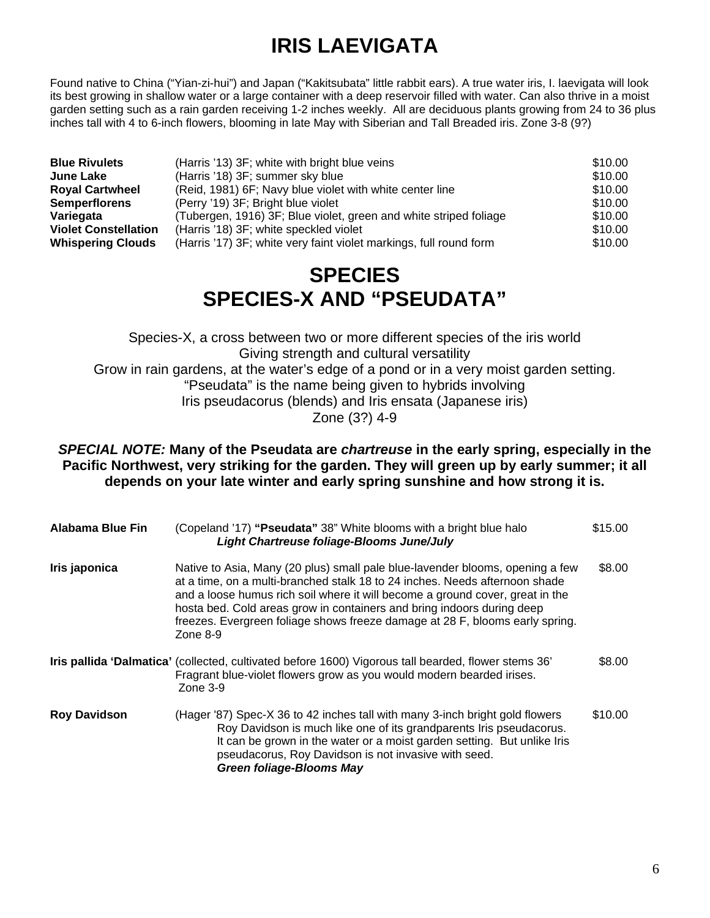# **IRIS LAEVIGATA**

Found native to China ("Yian-zi-hui") and Japan ("Kakitsubata" little rabbit ears). A true water iris, I. laevigata will look its best growing in shallow water or a large container with a deep reservoir filled with water. Can also thrive in a moist garden setting such as a rain garden receiving 1-2 inches weekly. All are deciduous plants growing from 24 to 36 plus inches tall with 4 to 6-inch flowers, blooming in late May with Siberian and Tall Breaded iris. Zone 3-8 (9?)

| <b>Blue Rivulets</b>        | (Harris '13) 3F; white with bright blue veins                      | \$10.00 |
|-----------------------------|--------------------------------------------------------------------|---------|
| June Lake                   | (Harris '18) 3F; summer sky blue                                   | \$10.00 |
| <b>Royal Cartwheel</b>      | (Reid, 1981) 6F; Navy blue violet with white center line           | \$10.00 |
| <b>Semperflorens</b>        | (Perry '19) 3F; Bright blue violet                                 | \$10.00 |
| Variegata                   | (Tubergen, 1916) 3F; Blue violet, green and white striped foliage  | \$10.00 |
| <b>Violet Constellation</b> | (Harris '18) 3F; white speckled violet                             | \$10.00 |
| <b>Whispering Clouds</b>    | (Harris '17) 3F; white very faint violet markings, full round form | \$10.00 |
|                             |                                                                    |         |

## **SPECIES SPECIES-X AND "PSEUDATA"**

Species-X, a cross between two or more different species of the iris world Giving strength and cultural versatility Grow in rain gardens, at the water's edge of a pond or in a very moist garden setting. "Pseudata" is the name being given to hybrids involving Iris pseudacorus (blends) and Iris ensata (Japanese iris) Zone (3?) 4-9

*SPECIAL NOTE:* **Many of the Pseudata are** *chartreuse* **in the early spring, especially in the Pacific Northwest, very striking for the garden. They will green up by early summer; it all depends on your late winter and early spring sunshine and how strong it is.**

| <b>Alabama Blue Fin</b> | (Copeland '17) "Pseudata" 38" White blooms with a bright blue halo<br>Light Chartreuse foliage-Blooms June/July                                                                                                                                                                                                                                                                                                     | \$15.00 |
|-------------------------|---------------------------------------------------------------------------------------------------------------------------------------------------------------------------------------------------------------------------------------------------------------------------------------------------------------------------------------------------------------------------------------------------------------------|---------|
| Iris japonica           | Native to Asia, Many (20 plus) small pale blue-lavender blooms, opening a few<br>at a time, on a multi-branched stalk 18 to 24 inches. Needs afternoon shade<br>and a loose humus rich soil where it will become a ground cover, great in the<br>hosta bed. Cold areas grow in containers and bring indoors during deep<br>freezes. Evergreen foliage shows freeze damage at 28 F, blooms early spring.<br>Zone 8-9 | \$8.00  |
|                         | Iris pallida 'Dalmatica' (collected, cultivated before 1600) Vigorous tall bearded, flower stems 36'<br>Fragrant blue-violet flowers grow as you would modern bearded irises.<br>Zone 3-9                                                                                                                                                                                                                           | \$8.00  |
| <b>Roy Davidson</b>     | (Hager '87) Spec-X 36 to 42 inches tall with many 3-inch bright gold flowers<br>Roy Davidson is much like one of its grandparents Iris pseudacorus.<br>It can be grown in the water or a moist garden setting. But unlike Iris<br>pseudacorus, Roy Davidson is not invasive with seed.<br><b>Green foliage-Blooms May</b>                                                                                           | \$10.00 |